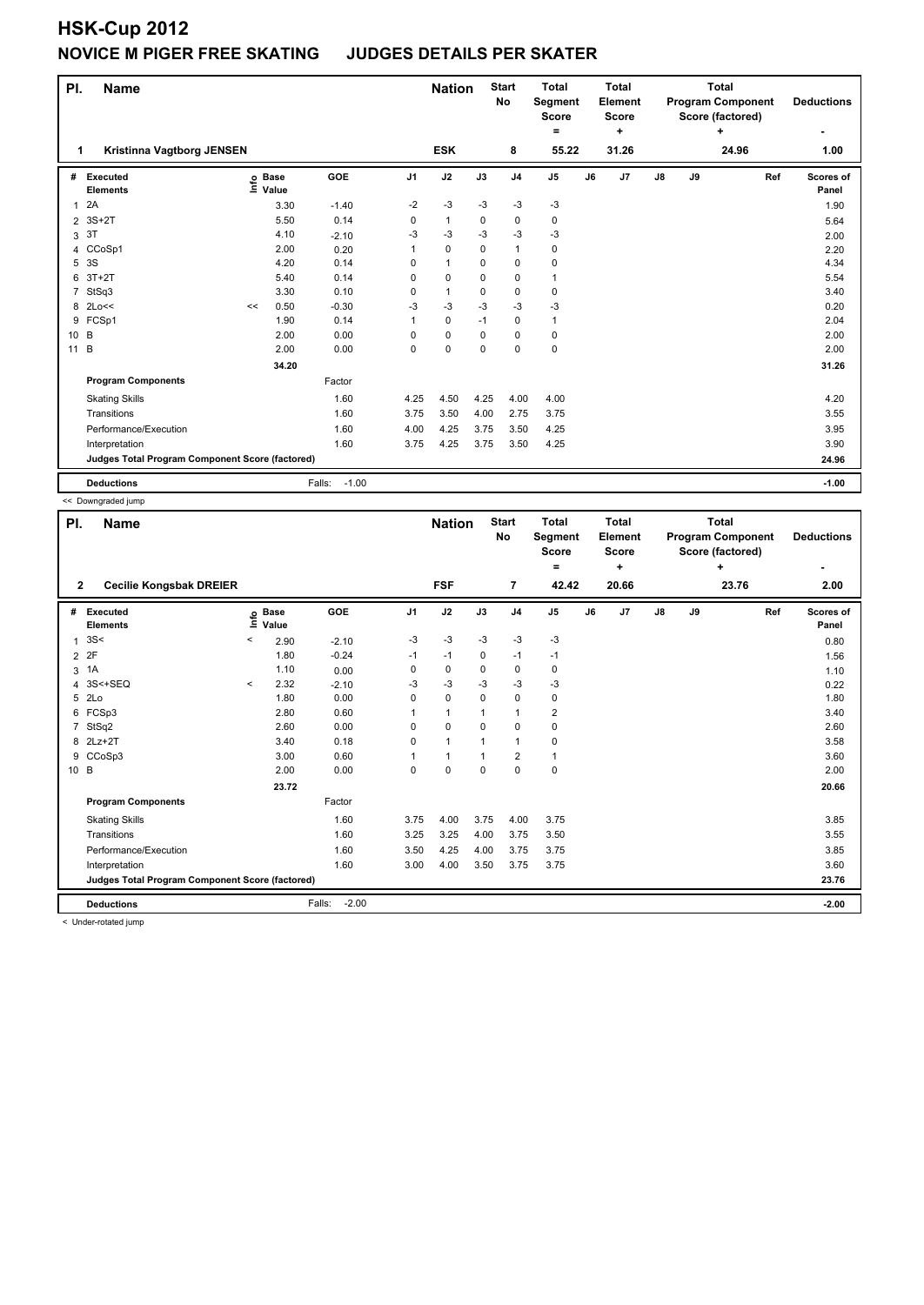| PI.            | <b>Name</b>                                     |    |                                  |                   |                |              |             | <b>Start</b><br><b>Total</b><br><b>No</b><br>Segment<br><b>Score</b><br>$=$ |                | <b>Total</b><br>Element<br><b>Score</b><br>÷ |       | <b>Total</b><br><b>Program Component</b><br>Score (factored)<br>÷ |    |       |     | <b>Deductions</b>         |
|----------------|-------------------------------------------------|----|----------------------------------|-------------------|----------------|--------------|-------------|-----------------------------------------------------------------------------|----------------|----------------------------------------------|-------|-------------------------------------------------------------------|----|-------|-----|---------------------------|
| 1              | Kristinna Vagtborg JENSEN                       |    |                                  |                   |                | <b>ESK</b>   |             | 8                                                                           | 55.22          |                                              | 31.26 |                                                                   |    | 24.96 |     | $\blacksquare$<br>1.00    |
| #              | Executed<br><b>Elements</b>                     |    | <b>Base</b><br>e Base<br>⊑ Value | GOE               | J <sub>1</sub> | J2           | J3          | J <sub>4</sub>                                                              | J <sub>5</sub> | J6                                           | J7    | J8                                                                | J9 |       | Ref | <b>Scores of</b><br>Panel |
| 1              | 2A                                              |    | 3.30                             | $-1.40$           | $-2$           | $-3$         | $-3$        | $-3$                                                                        | $-3$           |                                              |       |                                                                   |    |       |     | 1.90                      |
| $\overline{2}$ | $3S+2T$                                         |    | 5.50                             | 0.14              | 0              | $\mathbf{1}$ | 0           | 0                                                                           | 0              |                                              |       |                                                                   |    |       |     | 5.64                      |
| 3              | 3T                                              |    | 4.10                             | $-2.10$           | -3             | $-3$         | -3          | $-3$                                                                        | $-3$           |                                              |       |                                                                   |    |       |     | 2.00                      |
| 4              | CCoSp1                                          |    | 2.00                             | 0.20              | 1              | $\pmb{0}$    | 0           | $\mathbf{1}$                                                                | 0              |                                              |       |                                                                   |    |       |     | 2.20                      |
| 5              | 3S                                              |    | 4.20                             | 0.14              | 0              | $\mathbf{1}$ | 0           | $\mathbf 0$                                                                 | 0              |                                              |       |                                                                   |    |       |     | 4.34                      |
| 6              | $3T+2T$                                         |    | 5.40                             | 0.14              | $\Omega$       | $\mathbf 0$  | 0           | 0                                                                           | $\mathbf{1}$   |                                              |       |                                                                   |    |       |     | 5.54                      |
| 7              | StSq3                                           |    | 3.30                             | 0.10              | $\Omega$       | $\mathbf{1}$ | $\Omega$    | $\mathbf 0$                                                                 | 0              |                                              |       |                                                                   |    |       |     | 3.40                      |
| 8              | 2Lo<<                                           | << | 0.50                             | $-0.30$           | -3             | $-3$         | -3          | $-3$                                                                        | $-3$           |                                              |       |                                                                   |    |       |     | 0.20                      |
|                | 9 FCSp1                                         |    | 1.90                             | 0.14              |                | 0            | -1          | 0                                                                           | $\mathbf{1}$   |                                              |       |                                                                   |    |       |     | 2.04                      |
| 10 B           |                                                 |    | 2.00                             | 0.00              | 0              | $\mathbf 0$  | $\mathbf 0$ | $\mathbf 0$                                                                 | 0              |                                              |       |                                                                   |    |       |     | 2.00                      |
| $11 \quad B$   |                                                 |    | 2.00                             | 0.00              | 0              | 0            | 0           | 0                                                                           | 0              |                                              |       |                                                                   |    |       |     | 2.00                      |
|                |                                                 |    | 34.20                            |                   |                |              |             |                                                                             |                |                                              |       |                                                                   |    |       |     | 31.26                     |
|                | <b>Program Components</b>                       |    |                                  | Factor            |                |              |             |                                                                             |                |                                              |       |                                                                   |    |       |     |                           |
|                | <b>Skating Skills</b>                           |    |                                  | 1.60              | 4.25           | 4.50         | 4.25        | 4.00                                                                        | 4.00           |                                              |       |                                                                   |    |       |     | 4.20                      |
|                | Transitions                                     |    |                                  | 1.60              | 3.75           | 3.50         | 4.00        | 2.75                                                                        | 3.75           |                                              |       |                                                                   |    |       |     | 3.55                      |
|                | Performance/Execution                           |    |                                  | 1.60              | 4.00           | 4.25         | 3.75        | 3.50                                                                        | 4.25           |                                              |       |                                                                   |    |       |     | 3.95                      |
|                | Interpretation                                  |    |                                  | 1.60              | 3.75           | 4.25         | 3.75        | 3.50                                                                        | 4.25           |                                              |       |                                                                   |    |       |     | 3.90                      |
|                | Judges Total Program Component Score (factored) |    |                                  |                   |                |              |             |                                                                             |                |                                              |       |                                                                   |    |       |     | 24.96                     |
|                | <b>Deductions</b>                               |    |                                  | Falls:<br>$-1.00$ |                |              |             |                                                                             |                |                                              |       |                                                                   |    |       |     | $-1.00$                   |

<< Downgraded jump

| PI.<br>$\overline{2}$ | Name<br><b>Cecilie Kongsbak DREIER</b>          |         |                            |                   |                | <b>Nation</b><br><b>FSF</b> |             | <b>Start</b><br><b>No</b><br>$\overline{7}$ | <b>Total</b><br>Segment<br><b>Score</b><br>Ξ.<br>42.42 |    | <b>Total</b><br>Element<br><b>Score</b><br>÷<br>20.66 |               |    | <b>Total</b><br><b>Program Component</b><br>Score (factored)<br>÷<br>23.76 | <b>Deductions</b><br>2.00 |
|-----------------------|-------------------------------------------------|---------|----------------------------|-------------------|----------------|-----------------------------|-------------|---------------------------------------------|--------------------------------------------------------|----|-------------------------------------------------------|---------------|----|----------------------------------------------------------------------------|---------------------------|
| #                     | Executed<br><b>Elements</b>                     |         | e Base<br>⊆ Value<br>Value | GOE               | J <sub>1</sub> | J2                          | J3          | J <sub>4</sub>                              | J <sub>5</sub>                                         | J6 | J7                                                    | $\mathsf{J}8$ | J9 | Ref                                                                        | Scores of<br>Panel        |
| 1                     | 3S<                                             | $\,<\,$ | 2.90                       | $-2.10$           | -3             | -3                          | $-3$        | $-3$                                        | $-3$                                                   |    |                                                       |               |    |                                                                            | 0.80                      |
| $\overline{2}$        | 2F                                              |         | 1.80                       | $-0.24$           | $-1$           | $-1$                        | $\mathbf 0$ | $-1$                                        | $-1$                                                   |    |                                                       |               |    |                                                                            | 1.56                      |
| 3                     | 1A                                              |         | 1.10                       | 0.00              | 0              | $\pmb{0}$                   | $\mathbf 0$ | $\pmb{0}$                                   | $\pmb{0}$                                              |    |                                                       |               |    |                                                                            | 1.10                      |
| 4                     | 3S<+SEQ                                         | $\,<\,$ | 2.32                       | $-2.10$           | -3             | $-3$                        | -3          | $-3$                                        | $-3$                                                   |    |                                                       |               |    |                                                                            | 0.22                      |
| 5                     | 2Lo                                             |         | 1.80                       | 0.00              | 0              | $\mathbf 0$                 | $\Omega$    | $\mathbf 0$                                 | 0                                                      |    |                                                       |               |    |                                                                            | 1.80                      |
| 6                     | FCSp3                                           |         | 2.80                       | 0.60              |                | $\mathbf{1}$                | 1           | 1                                           | $\overline{2}$                                         |    |                                                       |               |    |                                                                            | 3.40                      |
| 7                     | StSq2                                           |         | 2.60                       | 0.00              | 0              | $\mathbf 0$                 | $\Omega$    | $\mathbf 0$                                 | $\pmb{0}$                                              |    |                                                       |               |    |                                                                            | 2.60                      |
| 8                     | $2Lz+2T$                                        |         | 3.40                       | 0.18              | 0              | $\mathbf{1}$                | 1           | $\mathbf{1}$                                | 0                                                      |    |                                                       |               |    |                                                                            | 3.58                      |
| 9                     | CCoSp3                                          |         | 3.00                       | 0.60              |                | $\mathbf{1}$                | $\mathbf 1$ | $\overline{\mathbf{c}}$                     | $\mathbf{1}$                                           |    |                                                       |               |    |                                                                            | 3.60                      |
| 10 B                  |                                                 |         | 2.00                       | 0.00              | 0              | $\mathbf 0$                 | $\mathbf 0$ | $\mathbf 0$                                 | $\mathbf 0$                                            |    |                                                       |               |    |                                                                            | 2.00                      |
|                       |                                                 |         | 23.72                      |                   |                |                             |             |                                             |                                                        |    |                                                       |               |    |                                                                            | 20.66                     |
|                       | <b>Program Components</b>                       |         |                            | Factor            |                |                             |             |                                             |                                                        |    |                                                       |               |    |                                                                            |                           |
|                       | <b>Skating Skills</b>                           |         |                            | 1.60              | 3.75           | 4.00                        | 3.75        | 4.00                                        | 3.75                                                   |    |                                                       |               |    |                                                                            | 3.85                      |
|                       | Transitions                                     |         |                            | 1.60              | 3.25           | 3.25                        | 4.00        | 3.75                                        | 3.50                                                   |    |                                                       |               |    |                                                                            | 3.55                      |
|                       | Performance/Execution                           |         |                            | 1.60              | 3.50           | 4.25                        | 4.00        | 3.75                                        | 3.75                                                   |    |                                                       |               |    |                                                                            | 3.85                      |
|                       | Interpretation                                  |         |                            | 1.60              | 3.00           | 4.00                        | 3.50        | 3.75                                        | 3.75                                                   |    |                                                       |               |    |                                                                            | 3.60                      |
|                       | Judges Total Program Component Score (factored) |         |                            |                   |                |                             |             |                                             |                                                        |    |                                                       |               |    |                                                                            | 23.76                     |
|                       | <b>Deductions</b>                               |         |                            | $-2.00$<br>Falls: |                |                             |             |                                             |                                                        |    |                                                       |               |    |                                                                            | $-2.00$                   |

< Under-rotated jump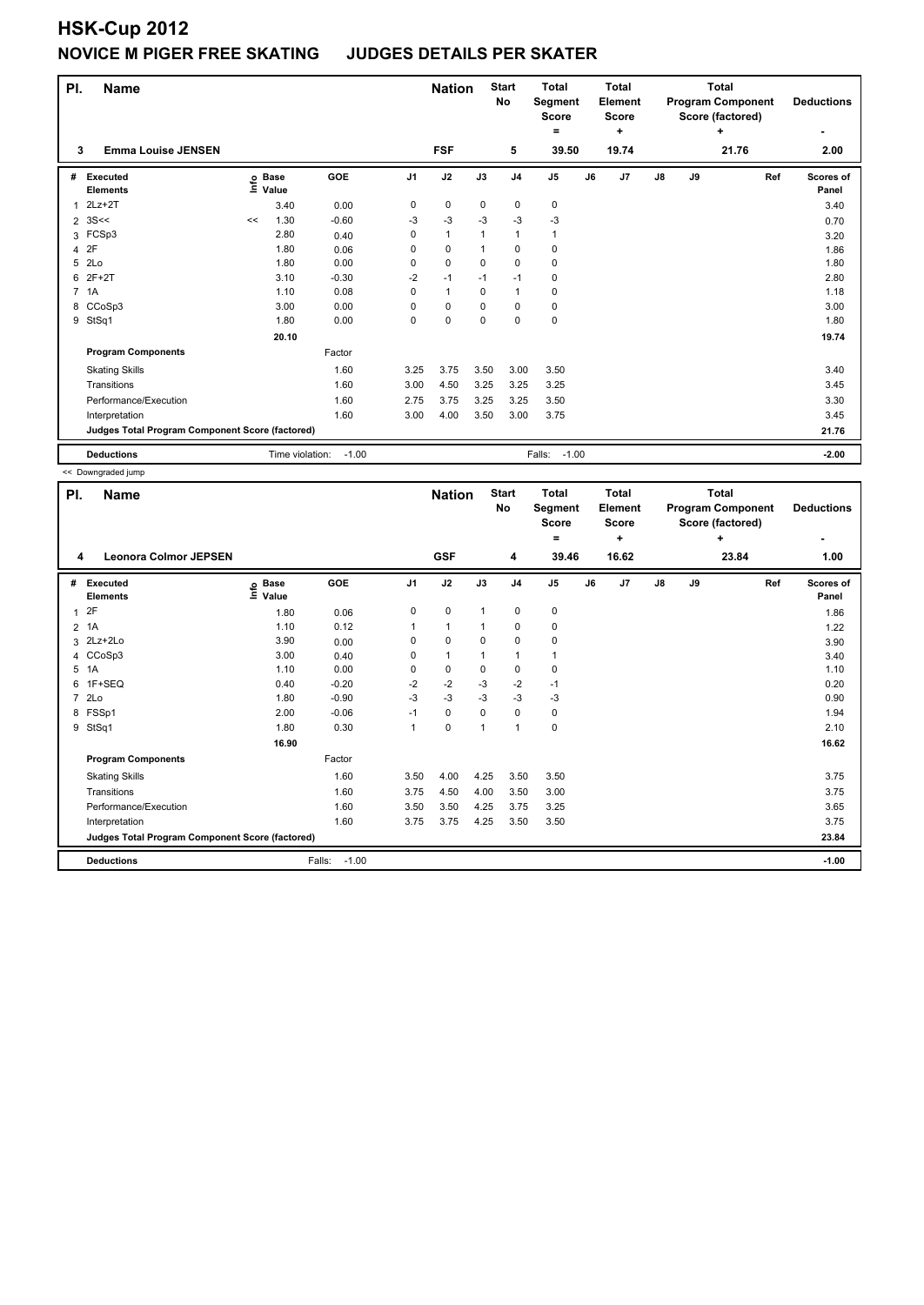| PI.            | <b>Name</b>                                     |                   |                 |         |          | <b>Nation</b> |              | <b>Start</b><br><b>No</b> | <b>Total</b><br>Segment<br><b>Score</b><br>۰ |    | <b>Total</b><br>Element<br><b>Score</b><br>÷ |            |    | <b>Total</b><br><b>Program Component</b><br>Score (factored)<br>÷ | <b>Deductions</b>  |
|----------------|-------------------------------------------------|-------------------|-----------------|---------|----------|---------------|--------------|---------------------------|----------------------------------------------|----|----------------------------------------------|------------|----|-------------------------------------------------------------------|--------------------|
| 3              | <b>Emma Louise JENSEN</b>                       |                   |                 |         |          | <b>FSF</b>    |              | 5                         | 39.50                                        |    | 19.74                                        |            |    | 21.76                                                             | 2.00               |
| #              | Executed<br><b>Elements</b>                     | e Base<br>E Value | Value           | GOE     | J1       | J2            | J3           | J <sub>4</sub>            | J <sub>5</sub>                               | J6 | J <sub>7</sub>                               | ${\sf J8}$ | J9 | Ref                                                               | Scores of<br>Panel |
| 1              | $2Lz+2T$                                        |                   | 3.40            | 0.00    | 0        | $\mathbf 0$   | $\mathbf 0$  | $\mathbf 0$               | 0                                            |    |                                              |            |    |                                                                   | 3.40               |
| $\overline{2}$ | 3S<<                                            | <<                | 1.30            | $-0.60$ | $-3$     | $-3$          | $-3$         | $-3$                      | $-3$                                         |    |                                              |            |    |                                                                   | 0.70               |
|                | 3 FCSp3                                         |                   | 2.80            | 0.40    | $\Omega$ | $\mathbf{1}$  | $\mathbf{1}$ | 1                         | 1                                            |    |                                              |            |    |                                                                   | 3.20               |
| 4              | 2F                                              |                   | 1.80            | 0.06    | 0        | $\mathbf 0$   | $\mathbf{1}$ | $\mathbf 0$               | 0                                            |    |                                              |            |    |                                                                   | 1.86               |
| 5              | 2Lo                                             |                   | 1.80            | 0.00    | 0        | $\mathbf 0$   | $\Omega$     | $\mathbf 0$               | 0                                            |    |                                              |            |    |                                                                   | 1.80               |
| 6              | $2F+2T$                                         |                   | 3.10            | $-0.30$ | $-2$     | $-1$          | $-1$         | $-1$                      | 0                                            |    |                                              |            |    |                                                                   | 2.80               |
| $7^{\circ}$    | 1A                                              |                   | 1.10            | 0.08    | 0        | $\mathbf{1}$  | $\Omega$     | 1                         | 0                                            |    |                                              |            |    |                                                                   | 1.18               |
|                | 8 CCoSp3                                        |                   | 3.00            | 0.00    | 0        | $\mathbf 0$   | 0            | $\mathbf 0$               | 0                                            |    |                                              |            |    |                                                                   | 3.00               |
| 9              | StSq1                                           |                   | 1.80            | 0.00    | 0        | $\pmb{0}$     | $\mathbf 0$  | $\mathbf 0$               | 0                                            |    |                                              |            |    |                                                                   | 1.80               |
|                |                                                 |                   | 20.10           |         |          |               |              |                           |                                              |    |                                              |            |    |                                                                   | 19.74              |
|                | <b>Program Components</b>                       |                   |                 | Factor  |          |               |              |                           |                                              |    |                                              |            |    |                                                                   |                    |
|                | <b>Skating Skills</b>                           |                   |                 | 1.60    | 3.25     | 3.75          | 3.50         | 3.00                      | 3.50                                         |    |                                              |            |    |                                                                   | 3.40               |
|                | Transitions                                     |                   |                 | 1.60    | 3.00     | 4.50          | 3.25         | 3.25                      | 3.25                                         |    |                                              |            |    |                                                                   | 3.45               |
|                | Performance/Execution                           |                   |                 | 1.60    | 2.75     | 3.75          | 3.25         | 3.25                      | 3.50                                         |    |                                              |            |    |                                                                   | 3.30               |
|                | Interpretation                                  |                   |                 | 1.60    | 3.00     | 4.00          | 3.50         | 3.00                      | 3.75                                         |    |                                              |            |    |                                                                   | 3.45               |
|                | Judges Total Program Component Score (factored) |                   |                 |         |          |               |              |                           |                                              |    |                                              |            |    |                                                                   | 21.76              |
|                | <b>Deductions</b>                               |                   | Time violation: | $-1.00$ |          |               |              |                           | Falls:<br>$-1.00$                            |    |                                              |            |    |                                                                   | $-2.00$            |

<< Downgraded jump

| PI.            | <b>Name</b>                                     |                              |                   |                | <b>Nation</b> |              | <b>Start</b><br><b>No</b> | <b>Total</b><br>Segment<br><b>Score</b> |    | <b>Total</b><br>Element<br><b>Score</b> |    |    | <b>Total</b><br><b>Program Component</b><br>Score (factored) |     | <b>Deductions</b>  |
|----------------|-------------------------------------------------|------------------------------|-------------------|----------------|---------------|--------------|---------------------------|-----------------------------------------|----|-----------------------------------------|----|----|--------------------------------------------------------------|-----|--------------------|
|                |                                                 |                              |                   |                |               |              |                           | $=$                                     |    | ÷                                       |    |    | ÷                                                            |     | ٠                  |
| 4              | <b>Leonora Colmor JEPSEN</b>                    |                              |                   |                | <b>GSF</b>    |              | 4                         | 39.46                                   |    | 16.62                                   |    |    | 23.84                                                        |     | 1.00               |
| #              | Executed<br><b>Elements</b>                     | <b>Base</b><br>lnfo<br>Value | <b>GOE</b>        | J <sub>1</sub> | J2            | J3           | J <sub>4</sub>            | J <sub>5</sub>                          | J6 | J7                                      | J8 | J9 |                                                              | Ref | Scores of<br>Panel |
| 1              | 2F                                              | 1.80                         | 0.06              | 0              | 0             | 1            | 0                         | 0                                       |    |                                         |    |    |                                                              |     | 1.86               |
| $\overline{2}$ | 1A                                              | 1.10                         | 0.12              | 1              | $\mathbf{1}$  | $\mathbf{1}$ | $\mathbf 0$               | 0                                       |    |                                         |    |    |                                                              |     | 1.22               |
| 3              | 2Lz+2Lo                                         | 3.90                         | 0.00              | 0              | $\mathbf 0$   | 0            | $\mathbf 0$               | 0                                       |    |                                         |    |    |                                                              |     | 3.90               |
|                | 4 CCoSp3                                        | 3.00                         | 0.40              | 0              | $\mathbf{1}$  | 1            | $\mathbf{1}$              | 1                                       |    |                                         |    |    |                                                              |     | 3.40               |
| 5              | 1A                                              | 1.10                         | 0.00              | 0              | $\mathbf 0$   | 0            | 0                         | 0                                       |    |                                         |    |    |                                                              |     | 1.10               |
| 6              | 1F+SEQ                                          | 0.40                         | $-0.20$           | $-2$           | $-2$          | $-3$         | $-2$                      | $-1$                                    |    |                                         |    |    |                                                              |     | 0.20               |
| $\overline{7}$ | 2Lo                                             | 1.80                         | $-0.90$           | $-3$           | -3            | $-3$         | $-3$                      | $-3$                                    |    |                                         |    |    |                                                              |     | 0.90               |
| 8              | FSSp1                                           | 2.00                         | $-0.06$           | $-1$           | 0             | 0            | 0                         | 0                                       |    |                                         |    |    |                                                              |     | 1.94               |
| 9              | StSq1                                           | 1.80                         | 0.30              | $\mathbf{1}$   | $\mathbf 0$   | 1            | $\overline{1}$            | 0                                       |    |                                         |    |    |                                                              |     | 2.10               |
|                |                                                 | 16.90                        |                   |                |               |              |                           |                                         |    |                                         |    |    |                                                              |     | 16.62              |
|                | <b>Program Components</b>                       |                              | Factor            |                |               |              |                           |                                         |    |                                         |    |    |                                                              |     |                    |
|                | <b>Skating Skills</b>                           |                              | 1.60              | 3.50           | 4.00          | 4.25         | 3.50                      | 3.50                                    |    |                                         |    |    |                                                              |     | 3.75               |
|                | Transitions                                     |                              | 1.60              | 3.75           | 4.50          | 4.00         | 3.50                      | 3.00                                    |    |                                         |    |    |                                                              |     | 3.75               |
|                | Performance/Execution                           |                              | 1.60              | 3.50           | 3.50          | 4.25         | 3.75                      | 3.25                                    |    |                                         |    |    |                                                              |     | 3.65               |
|                | Interpretation                                  |                              | 1.60              | 3.75           | 3.75          | 4.25         | 3.50                      | 3.50                                    |    |                                         |    |    |                                                              |     | 3.75               |
|                | Judges Total Program Component Score (factored) |                              |                   |                |               |              |                           |                                         |    |                                         |    |    |                                                              |     | 23.84              |
|                | <b>Deductions</b>                               |                              | Falls:<br>$-1.00$ |                |               |              |                           |                                         |    |                                         |    |    |                                                              |     | $-1.00$            |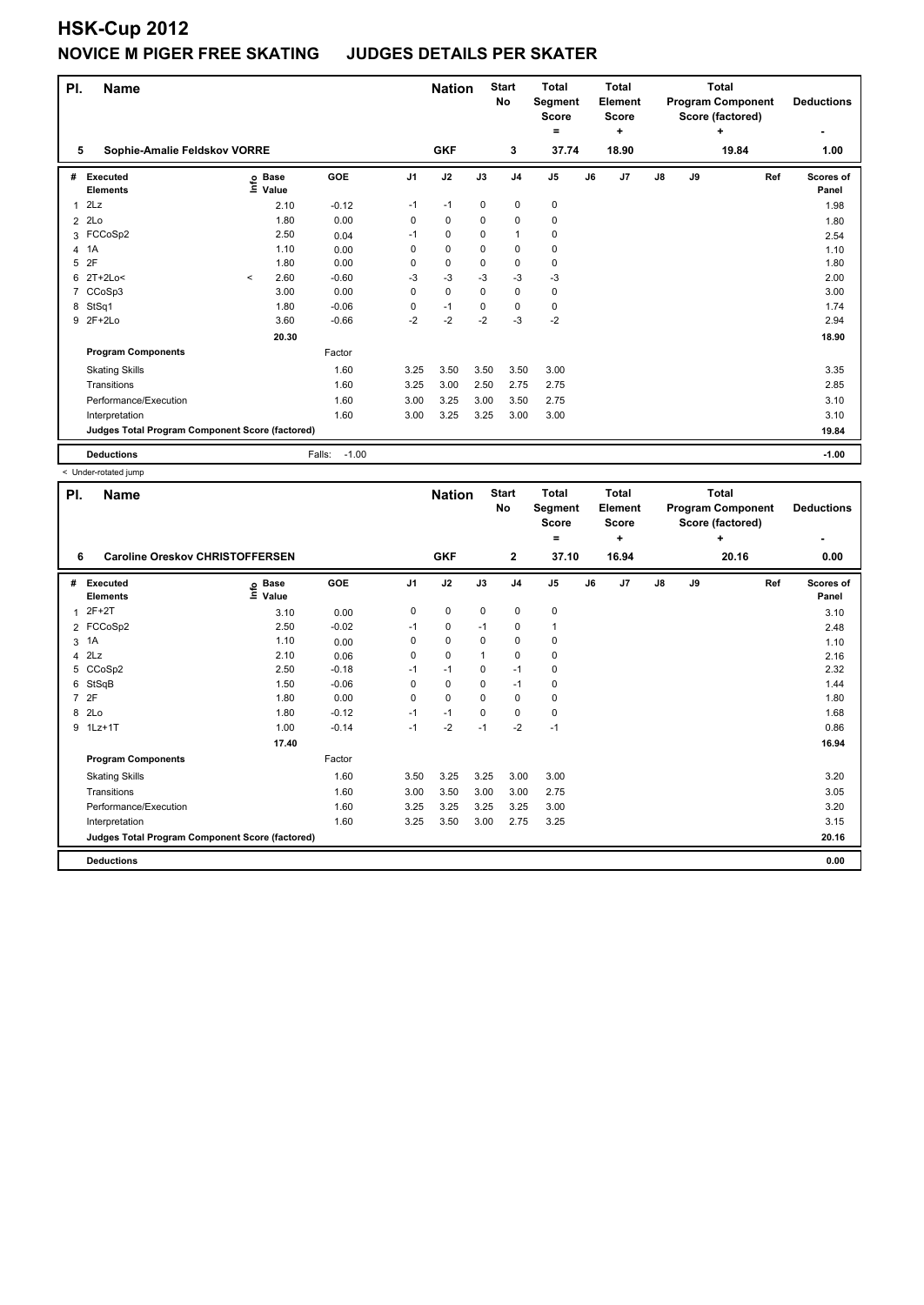| PI.            | <b>Name</b>                                     |         | <b>Start</b><br><b>Nation</b><br><b>No</b> |                   |                | <b>Total</b><br><b>Total</b><br>Segment<br>Element<br><b>Score</b><br><b>Score</b><br>٠<br>$=$ |             |                | <b>Total</b><br><b>Program Component</b><br>Score (factored) | <b>Deductions</b> |       |               |    |       |                    |
|----------------|-------------------------------------------------|---------|--------------------------------------------|-------------------|----------------|------------------------------------------------------------------------------------------------|-------------|----------------|--------------------------------------------------------------|-------------------|-------|---------------|----|-------|--------------------|
| 5              | Sophie-Amalie Feldskov VORRE                    |         |                                            |                   |                | <b>GKF</b>                                                                                     |             | 3              | 37.74                                                        |                   | 18.90 |               |    | 19.84 | 1.00               |
| #              | Executed<br><b>Elements</b>                     |         | e Base<br>⊑ Value<br>Value                 | GOE               | J <sub>1</sub> | J2                                                                                             | J3          | J <sub>4</sub> | J <sub>5</sub>                                               | J6                | J7    | $\mathsf{J}8$ | J9 | Ref   | Scores of<br>Panel |
| 1              | 2Lz                                             |         | 2.10                                       | $-0.12$           | $-1$           | $-1$                                                                                           | $\mathbf 0$ | $\pmb{0}$      | 0                                                            |                   |       |               |    |       | 1.98               |
| $\overline{2}$ | 2Lo                                             |         | 1.80                                       | 0.00              | 0              | $\mathbf 0$                                                                                    | 0           | $\mathbf 0$    | 0                                                            |                   |       |               |    |       | 1.80               |
|                | 3 FCCoSp2                                       |         | 2.50                                       | 0.04              | $-1$           | 0                                                                                              | 0           | $\mathbf{1}$   | $\mathbf 0$                                                  |                   |       |               |    |       | 2.54               |
| 4              | 1A                                              |         | 1.10                                       | 0.00              | 0              | 0                                                                                              | 0           | 0              | 0                                                            |                   |       |               |    |       | 1.10               |
| 5              | 2F                                              |         | 1.80                                       | 0.00              | 0              | $\mathbf 0$                                                                                    | $\mathbf 0$ | $\mathbf 0$    | $\mathbf 0$                                                  |                   |       |               |    |       | 1.80               |
| 6              | $2T+2Lo<$                                       | $\prec$ | 2.60                                       | $-0.60$           | -3             | $-3$                                                                                           | $-3$        | $-3$           | $-3$                                                         |                   |       |               |    |       | 2.00               |
| 7              | CCoSp3                                          |         | 3.00                                       | 0.00              | 0              | $\mathbf 0$                                                                                    | $\Omega$    | $\pmb{0}$      | 0                                                            |                   |       |               |    |       | 3.00               |
| 8              | StSq1                                           |         | 1.80                                       | $-0.06$           | 0              | $-1$                                                                                           | $\Omega$    | $\mathbf 0$    | $\mathbf 0$                                                  |                   |       |               |    |       | 1.74               |
|                | 9 2F+2Lo                                        |         | 3.60                                       | $-0.66$           | $-2$           | $-2$                                                                                           | $-2$        | $-3$           | $-2$                                                         |                   |       |               |    |       | 2.94               |
|                |                                                 |         | 20.30                                      |                   |                |                                                                                                |             |                |                                                              |                   |       |               |    |       | 18.90              |
|                | <b>Program Components</b>                       |         |                                            | Factor            |                |                                                                                                |             |                |                                                              |                   |       |               |    |       |                    |
|                | <b>Skating Skills</b>                           |         |                                            | 1.60              | 3.25           | 3.50                                                                                           | 3.50        | 3.50           | 3.00                                                         |                   |       |               |    |       | 3.35               |
|                | Transitions                                     |         |                                            | 1.60              | 3.25           | 3.00                                                                                           | 2.50        | 2.75           | 2.75                                                         |                   |       |               |    |       | 2.85               |
|                | Performance/Execution                           |         |                                            | 1.60              | 3.00           | 3.25                                                                                           | 3.00        | 3.50           | 2.75                                                         |                   |       |               |    |       | 3.10               |
|                | Interpretation                                  |         |                                            | 1.60              | 3.00           | 3.25                                                                                           | 3.25        | 3.00           | 3.00                                                         |                   |       |               |    |       | 3.10               |
|                | Judges Total Program Component Score (factored) |         |                                            |                   |                |                                                                                                |             |                |                                                              |                   |       |               |    |       | 19.84              |
|                | <b>Deductions</b>                               |         |                                            | $-1.00$<br>Falls: |                |                                                                                                |             |                |                                                              |                   |       |               |    |       | $-1.00$            |

< Under-rotated jump

| PI.            | <b>Name</b>                                     |                                        |         |                | <b>Nation</b> |             | <b>Start</b><br>No | <b>Total</b><br>Segment<br><b>Score</b><br>٠ |    | <b>Total</b><br>Element<br><b>Score</b><br>٠ |               |    | <b>Total</b><br><b>Program Component</b><br>Score (factored)<br>÷ | <b>Deductions</b><br>٠ |
|----------------|-------------------------------------------------|----------------------------------------|---------|----------------|---------------|-------------|--------------------|----------------------------------------------|----|----------------------------------------------|---------------|----|-------------------------------------------------------------------|------------------------|
| 6              |                                                 | <b>Caroline Oreskov CHRISTOFFERSEN</b> |         |                |               |             |                    | 37.10                                        |    | 16.94                                        |               |    | 20.16                                                             | 0.00                   |
| #              | Executed<br><b>Elements</b>                     | <b>Base</b><br>۴ů<br>Value             | GOE     | J <sub>1</sub> | J2            | J3          | J <sub>4</sub>     | J <sub>5</sub>                               | J6 | J7                                           | $\mathsf{J}8$ | J9 | Ref                                                               | Scores of<br>Panel     |
| 1              | $2F+2T$                                         | 3.10                                   | 0.00    | 0              | 0             | 0           | 0                  | 0                                            |    |                                              |               |    |                                                                   | 3.10                   |
|                | 2 FCCoSp2                                       | 2.50                                   | $-0.02$ | $-1$           | 0             | $-1$        | 0                  | $\mathbf{1}$                                 |    |                                              |               |    |                                                                   | 2.48                   |
| 3              | 1A                                              | 1.10                                   | 0.00    | 0              | $\mathbf 0$   | 0           | 0                  | 0                                            |    |                                              |               |    |                                                                   | 1.10                   |
| 4              | 2Lz                                             | 2.10                                   | 0.06    | 0              | $\mathbf 0$   | $\mathbf 1$ | 0                  | 0                                            |    |                                              |               |    |                                                                   | 2.16                   |
| 5              | CCoSp2                                          | 2.50                                   | $-0.18$ | $-1$           | $-1$          | 0           | $-1$               | 0                                            |    |                                              |               |    |                                                                   | 2.32                   |
| 6              | StSqB                                           | 1.50                                   | $-0.06$ | 0              | 0             | $\Omega$    | $-1$               | 0                                            |    |                                              |               |    |                                                                   | 1.44                   |
| $\overline{7}$ | 2F                                              | 1.80                                   | 0.00    | 0              | $\mathbf 0$   | 0           | $\mathbf 0$        | $\pmb{0}$                                    |    |                                              |               |    |                                                                   | 1.80                   |
| 8              | 2 <sub>LO</sub>                                 | 1.80                                   | $-0.12$ | $-1$           | $-1$          | 0           | $\mathbf 0$        | $\pmb{0}$                                    |    |                                              |               |    |                                                                   | 1.68                   |
| 9              | $1Lz+1T$                                        | 1.00                                   | $-0.14$ | $-1$           | $-2$          | $-1$        | $-2$               | $-1$                                         |    |                                              |               |    |                                                                   | 0.86                   |
|                |                                                 | 17.40                                  |         |                |               |             |                    |                                              |    |                                              |               |    |                                                                   | 16.94                  |
|                | <b>Program Components</b>                       |                                        | Factor  |                |               |             |                    |                                              |    |                                              |               |    |                                                                   |                        |
|                | <b>Skating Skills</b>                           |                                        | 1.60    | 3.50           | 3.25          | 3.25        | 3.00               | 3.00                                         |    |                                              |               |    |                                                                   | 3.20                   |
|                | Transitions                                     |                                        | 1.60    | 3.00           | 3.50          | 3.00        | 3.00               | 2.75                                         |    |                                              |               |    |                                                                   | 3.05                   |
|                | Performance/Execution                           |                                        | 1.60    | 3.25           | 3.25          | 3.25        | 3.25               | 3.00                                         |    |                                              |               |    |                                                                   | 3.20                   |
|                | Interpretation                                  |                                        | 1.60    | 3.25           | 3.50          | 3.00        | 2.75               | 3.25                                         |    |                                              |               |    |                                                                   | 3.15                   |
|                | Judges Total Program Component Score (factored) |                                        |         |                |               |             |                    |                                              |    |                                              |               |    |                                                                   | 20.16                  |
|                | <b>Deductions</b>                               |                                        |         |                |               |             |                    |                                              |    |                                              |               |    |                                                                   | 0.00                   |